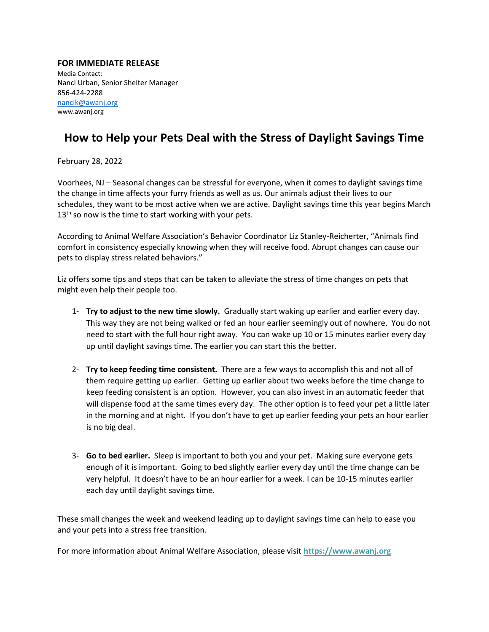## **FOR IMMEDIATE RELEASE**

Media Contact: Nanci Urban, Senior Shelter Manager 856-424-2288 [nancik@awanj.org](mailto:nancik@awanj.org) www.awanj.org

## **How to Help your Pets Deal with the Stress of Daylight Savings Time**

February 28, 2022

Voorhees, NJ – Seasonal changes can be stressful for everyone, when it comes to daylight savings time the change in time affects your furry friends as well as us. Our animals adjust their lives to our schedules, they want to be most active when we are active. Daylight savings time this year begins March  $13<sup>th</sup>$  so now is the time to start working with your pets.

According to Animal Welfare Association's Behavior Coordinator Liz Stanley-Reicherter, "Animals find comfort in consistency especially knowing when they will receive food. Abrupt changes can cause our pets to display stress related behaviors."

Liz offers some tips and steps that can be taken to alleviate the stress of time changes on pets that might even help their people too.

- 1- **Try to adjust to the new time slowly.** Gradually start waking up earlier and earlier every day. This way they are not being walked or fed an hour earlier seemingly out of nowhere. You do not need to start with the full hour right away. You can wake up 10 or 15 minutes earlier every day up until daylight savings time. The earlier you can start this the better.
- 2- **Try to keep feeding time consistent.** There are a few ways to accomplish this and not all of them require getting up earlier. Getting up earlier about two weeks before the time change to keep feeding consistent is an option. However, you can also invest in an automatic feeder that will dispense food at the same times every day. The other option is to feed your pet a little later in the morning and at night. If you don't have to get up earlier feeding your pets an hour earlier is no big deal.
- 3- **Go to bed earlier.** Sleep is important to both you and your pet. Making sure everyone gets enough of it is important. Going to bed slightly earlier every day until the time change can be very helpful. It doesn't have to be an hour earlier for a week. I can be 10-15 minutes earlier each day until daylight savings time.

These small changes the week and weekend leading up to daylight savings time can help to ease you and your pets into a stress free transition.

For more information about Animal Welfare Association, please visit **[https://www.awanj.org](https://www.awanj.org/)**